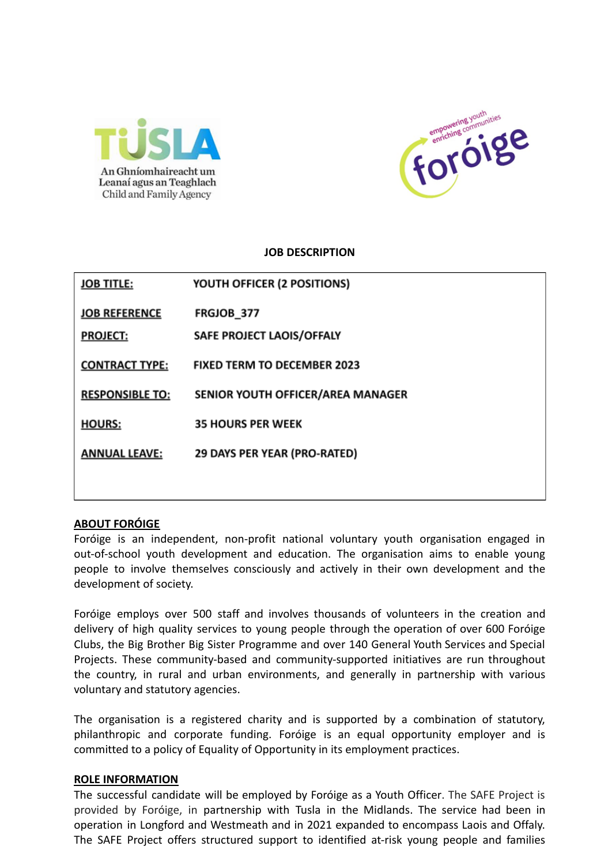



#### **JOB DESCRIPTION**

| <b>JOB TITLE:</b>      | YOUTH OFFICER (2 POSITIONS)        |
|------------------------|------------------------------------|
| <b>JOB REFERENCE</b>   | <b>FRGJOB_377</b>                  |
| <b>PROJECT:</b>        | SAFE PROJECT LAOIS/OFFALY          |
| <b>CONTRACT TYPE:</b>  | <b>FIXED TERM TO DECEMBER 2023</b> |
| <b>RESPONSIBLE TO:</b> | SENIOR YOUTH OFFICER/AREA MANAGER  |
| <b>HOURS:</b>          | <b>35 HOURS PER WEEK</b>           |
| <b>ANNUAL LEAVE:</b>   | 29 DAYS PER YEAR (PRO-RATED)       |
|                        |                                    |

## **ABOUT FORÓIGE**

Foróige is an independent, non-profit national voluntary youth organisation engaged in out-of-school youth development and education. The organisation aims to enable young people to involve themselves consciously and actively in their own development and the development of society.

Foróige employs over 500 staff and involves thousands of volunteers in the creation and delivery of high quality services to young people through the operation of over 600 Foróige Clubs, the Big Brother Big Sister Programme and over 140 General Youth Services and Special Projects. These community-based and community-supported initiatives are run throughout the country, in rural and urban environments, and generally in partnership with various voluntary and statutory agencies.

The organisation is a registered charity and is supported by a combination of statutory, philanthropic and corporate funding. Foróige is an equal opportunity employer and is committed to a policy of Equality of Opportunity in its employment practices.

#### **ROLE INFORMATION**

The successful candidate will be employed by Foróige as a Youth Officer. The SAFE Project is provided by Foróige, in partnership with Tusla in the Midlands. The service had been in operation in Longford and Westmeath and in 2021 expanded to encompass Laois and Offaly. The SAFE Project offers structured support to identified at-risk young people and families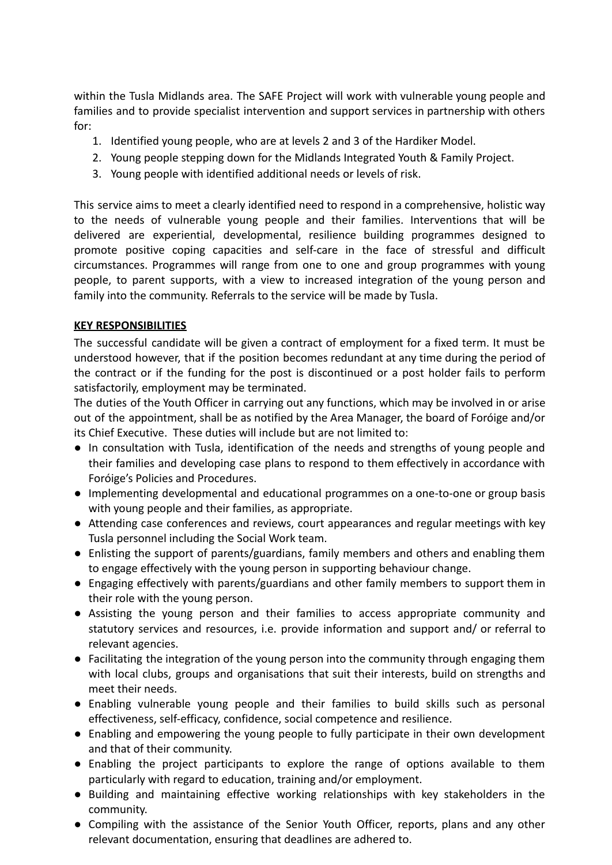within the Tusla Midlands area. The SAFE Project will work with vulnerable young people and families and to provide specialist intervention and support services in partnership with others for:

- 1. Identified young people, who are at levels 2 and 3 of the Hardiker Model.
- 2. Young people stepping down for the Midlands Integrated Youth & Family Project.
- 3. Young people with identified additional needs or levels of risk.

This service aims to meet a clearly identified need to respond in a comprehensive, holistic way to the needs of vulnerable young people and their families. Interventions that will be delivered are experiential, developmental, resilience building programmes designed to promote positive coping capacities and self-care in the face of stressful and difficult circumstances. Programmes will range from one to one and group programmes with young people, to parent supports, with a view to increased integration of the young person and family into the community. Referrals to the service will be made by Tusla.

## **KEY RESPONSIBILITIES**

The successful candidate will be given a contract of employment for a fixed term. It must be understood however, that if the position becomes redundant at any time during the period of the contract or if the funding for the post is discontinued or a post holder fails to perform satisfactorily, employment may be terminated.

The duties of the Youth Officer in carrying out any functions, which may be involved in or arise out of the appointment, shall be as notified by the Area Manager, the board of Foróige and/or its Chief Executive. These duties will include but are not limited to:

- In consultation with Tusla, identification of the needs and strengths of young people and their families and developing case plans to respond to them effectively in accordance with Foróige's Policies and Procedures.
- Implementing developmental and educational programmes on a one-to-one or group basis with young people and their families, as appropriate.
- Attending case conferences and reviews, court appearances and regular meetings with key Tusla personnel including the Social Work team.
- Enlisting the support of parents/guardians, family members and others and enabling them to engage effectively with the young person in supporting behaviour change.
- Engaging effectively with parents/guardians and other family members to support them in their role with the young person.
- Assisting the young person and their families to access appropriate community and statutory services and resources, i.e. provide information and support and/ or referral to relevant agencies.
- Facilitating the integration of the young person into the community through engaging them with local clubs, groups and organisations that suit their interests, build on strengths and meet their needs.
- Enabling vulnerable young people and their families to build skills such as personal effectiveness, self-efficacy, confidence, social competence and resilience.
- Enabling and empowering the young people to fully participate in their own development and that of their community.
- Enabling the project participants to explore the range of options available to them particularly with regard to education, training and/or employment.
- Building and maintaining effective working relationships with key stakeholders in the community.
- Compiling with the assistance of the Senior Youth Officer, reports, plans and any other relevant documentation, ensuring that deadlines are adhered to.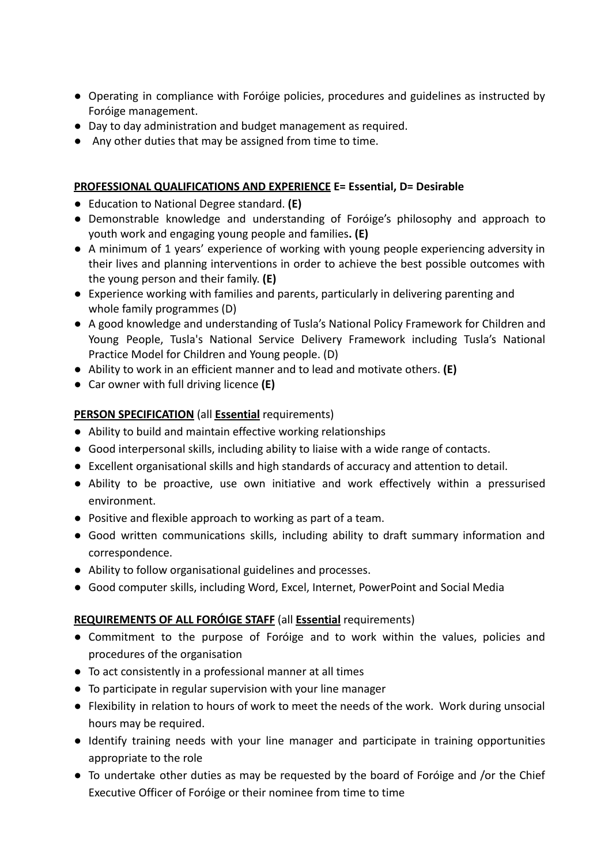- Operating in compliance with Foróige policies, procedures and guidelines as instructed by Foróige management.
- Day to day administration and budget management as required.
- Any other duties that may be assigned from time to time.

## **PROFESSIONAL QUALIFICATIONS AND EXPERIENCE E= Essential, D= Desirable**

- Education to National Degree standard. **(E)**
- Demonstrable knowledge and understanding of Foróige's philosophy and approach to youth work and engaging young people and families**. (E)**
- A minimum of 1 years' experience of working with young people experiencing adversity in their lives and planning interventions in order to achieve the best possible outcomes with the young person and their family. **(E)**
- Experience working with families and parents, particularly in delivering parenting and whole family programmes (D)
- A good knowledge and understanding of Tusla's National Policy Framework for Children and Young People, Tusla's National Service Delivery Framework including Tusla's National Practice Model for Children and Young people. (D)
- Ability to work in an efficient manner and to lead and motivate others. **(E)**
- **●** Car owner with full driving licence **(E)**

## **PERSON SPECIFICATION** (all **Essential** requirements)

- Ability to build and maintain effective working relationships
- Good interpersonal skills, including ability to liaise with a wide range of contacts.
- Excellent organisational skills and high standards of accuracy and attention to detail.
- Ability to be proactive, use own initiative and work effectively within a pressurised environment.
- Positive and flexible approach to working as part of a team.
- Good written communications skills, including ability to draft summary information and correspondence.
- Ability to follow organisational guidelines and processes.
- Good computer skills, including Word, Excel, Internet, PowerPoint and Social Media

# **REQUIREMENTS OF ALL FORÓIGE STAFF** (all **Essential** requirements)

- Commitment to the purpose of Foróige and to work within the values, policies and procedures of the organisation
- To act consistently in a professional manner at all times
- To participate in regular supervision with your line manager
- Flexibility in relation to hours of work to meet the needs of the work. Work during unsocial hours may be required.
- Identify training needs with your line manager and participate in training opportunities appropriate to the role
- To undertake other duties as may be requested by the board of Foróige and /or the Chief Executive Officer of Foróige or their nominee from time to time